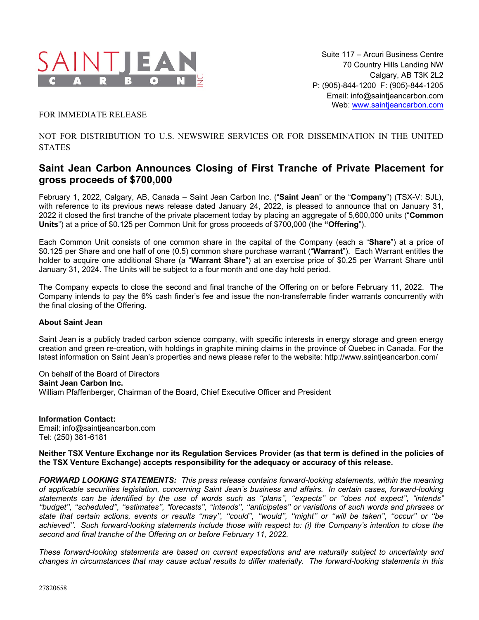

FOR IMMEDIATE RELEASE

NOT FOR DISTRIBUTION TO U.S. NEWSWIRE SERVICES OR FOR DISSEMINATION IN THE UNITED **STATES** 

## **Saint Jean Carbon Announces Closing of First Tranche of Private Placement for gross proceeds of \$700,000**

February 1, 2022, Calgary, AB, Canada – Saint Jean Carbon Inc. ("**Saint Jean**" or the "**Company**") (TSX-V: SJL), with reference to its previous news release dated January 24, 2022, is pleased to announce that on January 31, 2022 it closed the first tranche of the private placement today by placing an aggregate of 5,600,000 units ("**Common Units**") at a price of \$0.125 per Common Unit for gross proceeds of \$700,000 (the **"Offering**").

Each Common Unit consists of one common share in the capital of the Company (each a "**Share**") at a price of \$0.125 per Share and one half of one (0.5) common share purchase warrant ("**Warrant**"). Each Warrant entitles the holder to acquire one additional Share (a "**Warrant Share**") at an exercise price of \$0.25 per Warrant Share until January 31, 2024. The Units will be subject to a four month and one day hold period.

The Company expects to close the second and final tranche of the Offering on or before February 11, 2022. The Company intends to pay the 6% cash finder's fee and issue the non-transferrable finder warrants concurrently with the final closing of the Offering.

## **About Saint Jean**

Saint Jean is a publicly traded carbon science company, with specific interests in energy storage and green energy creation and green re-creation, with holdings in graphite mining claims in the province of Quebec in Canada. For the latest information on Saint Jean's properties and news please refer to the website: http://www.saintjeancarbon.com/

On behalf of the Board of Directors **Saint Jean Carbon Inc.** William Pfaffenberger, Chairman of the Board, Chief Executive Officer and President

**Information Contact:** Email: info@saintjeancarbon.com Tel: (250) 381-6181

## **Neither TSX Venture Exchange nor its Regulation Services Provider (as that term is defined in the policies of the TSX Venture Exchange) accepts responsibility for the adequacy or accuracy of this release.**

*FORWARD LOOKING STATEMENTS: This press release contains forward-looking statements, within the meaning of applicable securities legislation, concerning Saint Jean's business and affairs. In certain cases, forward-looking statements can be identified by the use of words such as ''plans'', ''expects'' or ''does not expect'', "intends" ''budget'', ''scheduled'', ''estimates'', "forecasts'', ''intends'', ''anticipates'' or variations of such words and phrases or state that certain actions, events or results ''may'', ''could'', ''would'', ''might'' or ''will be taken'', ''occur'' or ''be achieved''. Such forward-looking statements include those with respect to: (i) the Company's intention to close the second and final tranche of the Offering on or before February 11, 2022.*

*These forward-looking statements are based on current expectations and are naturally subject to uncertainty and changes in circumstances that may cause actual results to differ materially. The forward-looking statements in this*